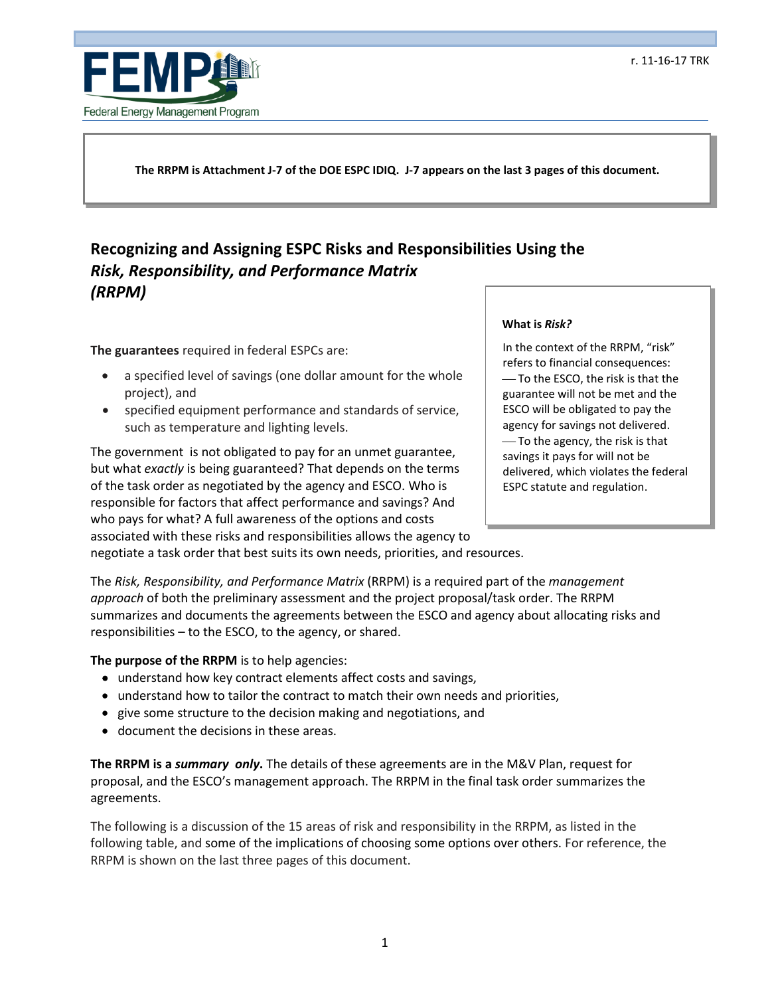

**The RRPM is Attachment J-7 of the DOE ESPC IDIQ. J-7 appears on the last 3 pages of this document.** 

# *Risk, Responsibility, and Performance Matrix*  **Recognizing and Assigning ESPC Risks and Responsibilities Using the**  *(RRPM)*

**The guarantees** required in federal ESPCs are:

- a specified level of savings (one dollar amount for the whole project), and
- specified equipment performance and standards of service, such as temperature and lighting levels.

 The government is not obligated to pay for an unmet guarantee, but what *exactly* is being guaranteed? That depends on the terms of the task order as negotiated by the agency and ESCO. Who is responsible for factors that affect performance and savings? And who pays for what? A full awareness of the options and costs associated with these risks and responsibilities allows the agency to negotiate a task order that best suits its own needs, priorities, and resources.

#### **What is** *Risk?*

 ESCO will be obligated to pay the In the context of the RRPM, "risk" refers to financial consequences: -To the ESCO, the risk is that the guarantee will not be met and the agency for savings not delivered. To the agency, the risk is that savings it pays for will not be delivered, which violates the federal ESPC statute and regulation.

 The *Risk, Responsibility, and Performance Matrix* (RRPM) is a required part of the *management approach* of both the preliminary assessment and the project proposal/task order. The RRPM summarizes and documents the agreements between the ESCO and agency about allocating risks and responsibilities – to the ESCO, to the agency, or shared.

#### **The purpose of the RRPM** is to help agencies:

- understand how key contract elements affect costs and savings,
- understand how to tailor the contract to match their own needs and priorities,
- give some structure to the decision making and negotiations, and
- document the decisions in these areas.

 **The RRPM is a** *summary only***.** The details of these agreements are in the M&V Plan, request for proposal, and the ESCO's management approach; The RRPM in the final task order summarizes the agreements.

 The following is a discussion of the 15 areas of risk and responsibility in the RRPM, as listed in the RRPM is shown on the last three pages of this document. following table, and some of the implications of choosing some options over others. For reference, the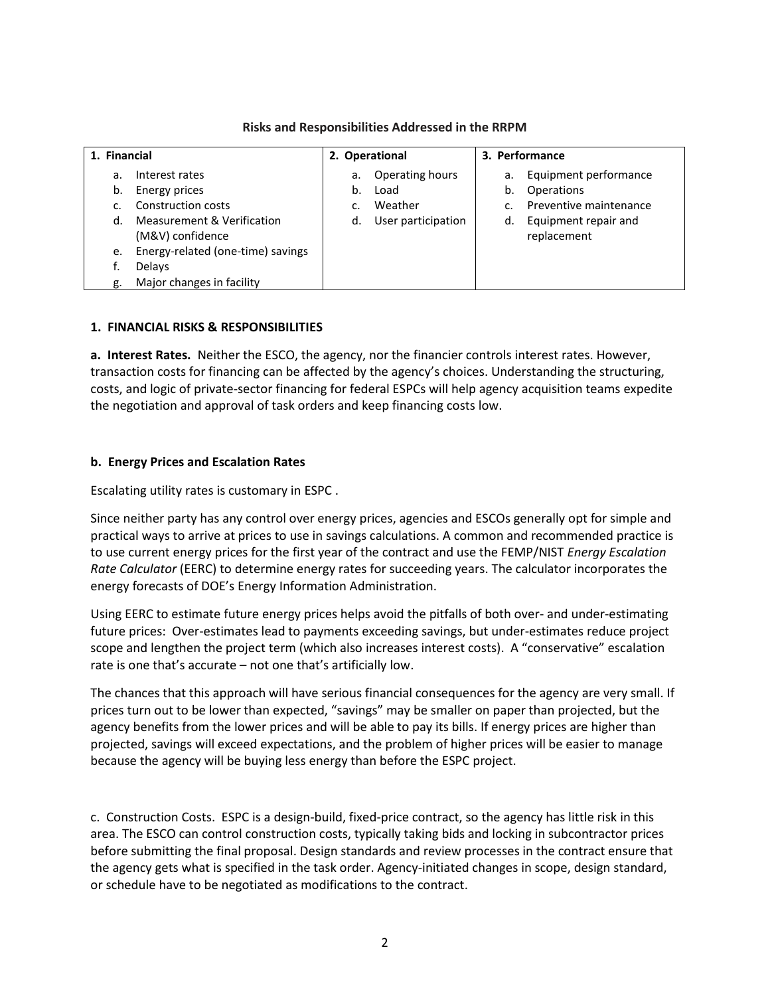| 1. Financial |                                                | 2. Operational |                    | 3. Performance |                                     |
|--------------|------------------------------------------------|----------------|--------------------|----------------|-------------------------------------|
| a.           | Interest rates                                 | а.             | Operating hours    | а.             | Equipment performance               |
| b.           | Energy prices                                  | b.             | Load               | b.             | Operations                          |
|              | Construction costs                             | C.             | Weather            |                | Preventive maintenance              |
| d.           | Measurement & Verification<br>(M&V) confidence | d.             | User participation | d.             | Equipment repair and<br>replacement |
| e.           | Energy-related (one-time) savings              |                |                    |                |                                     |
|              | Delays                                         |                |                    |                |                                     |
| g.           | Major changes in facility                      |                |                    |                |                                     |

## **Risks and Responsibilities Addressed in the RRPM**

## **1. FINANCIAL RISKS & RESPONSIBILITIES**

 **a. Interest Rates.** Neither the ESCO, the agency, nor the financier controls interest rates. However, the negotiation and approval of task orders and keep financing costs low. transaction costs for financing can be affected by the agency's choices. Understanding the structuring, costs, and logic of private-sector financing for federal ESPCs will help agency acquisition teams expedite

### **b. Energy Prices and Escalation Rates**

Escalating utility rates is customary in ESPC .

 practical ways to arrive at prices to use in savings calculations. A common and recommended practice is to use current energy prices for the first year of the contract and use the FEMP/NIST *Energy Escalation*  Since neither party has any control over energy prices, agencies and ESCOs generally opt for simple and *Rate Calculator* (EERC) to determine energy rates for succeeding years. The calculator incorporates the energy forecasts of DOE's Energy Information Administration.

 future prices: Over-estimates lead to payments exceeding savings, but under-estimates reduce project scope and lengthen the project term (which also increases interest costs). A "conservative" escalation rate is one that's accurate – not one that's artificially low. Using EERC to estimate future energy prices helps avoid the pitfalls of both over- and under-estimating

 agency benefits from the lower prices and will be able to pay its bills. If energy prices are higher than projected, savings will exceed expectations, and the problem of higher prices will be easier to manage because the agency will be buying less energy than before the ESPC project. The chances that this approach will have serious financial consequences for the agency are very small. If prices turn out to be lower than expected, "savings" may be smaller on paper than projected, but the

 c. Construction Costs. ESPC is a design-build, fixed-price contract, so the agency has little risk in this before submitting the final proposal. Design standards and review processes in the contract ensure that area. The ESCO can control construction costs, typically taking bids and locking in subcontractor prices the agency gets what is specified in the task order. Agency-initiated changes in scope, design standard, or schedule have to be negotiated as modifications to the contract.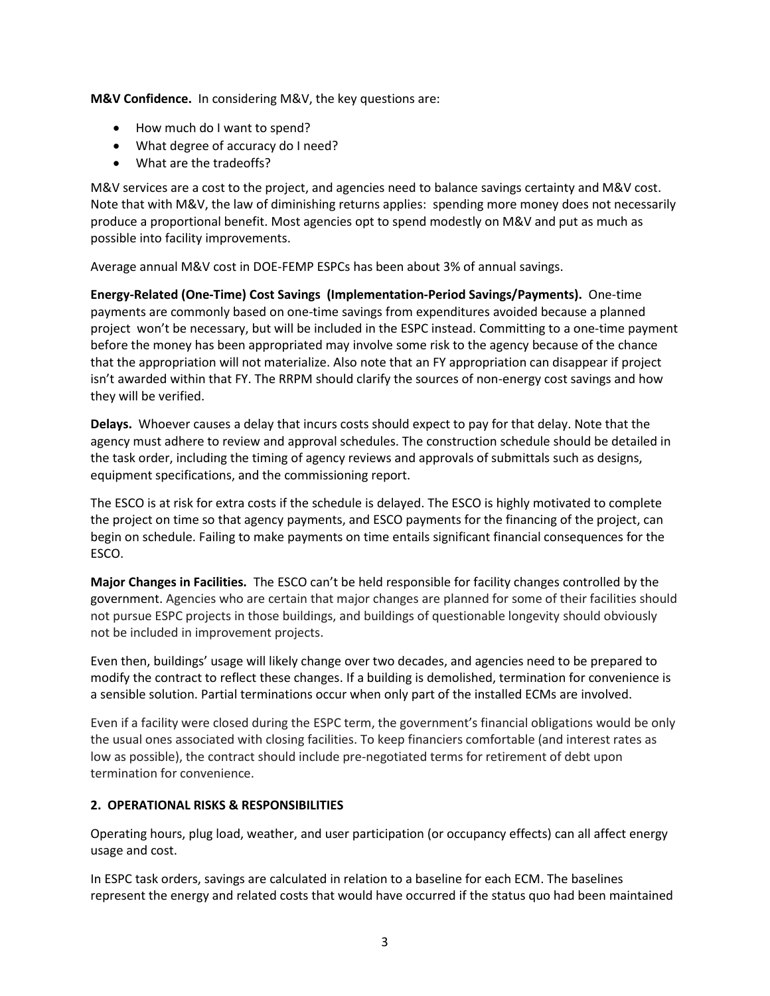**M&V Confidence.** In considering M&V, the key questions are:

- How much do I want to spend?
- What degree of accuracy do I need?
- What are the tradeoffs?

 Note that with M&V, the law of diminishing returns applies: spending more money does not necessarily produce a proportional benefit. Most agencies opt to spend modestly on M&V and put as much as M&V services are a cost to the project, and agencies need to balance savings certainty and M&V cost. possible into facility improvements.

Average annual M&V cost in DOE-FEMP ESPCs has been about 3% of annual savings.

 **Energy-Related (One-Time) Cost Savings (Implementation-Period Savings/Payments).** One-time payments are commonly based on one-time savings from expenditures avoided because a planned project won't be necessary, but will be included in the ESPC instead. Committing to a one-time payment before the money has been appropriated may involve some risk to the agency because of the chance that the appropriation will not materialize. Also note that an FY appropriation can disappear if project isn't awarded within that FY. The RRPM should clarify the sources of non-energy cost savings and how they will be verified.

 **Delays.** Whoever causes a delay that incurs costs should expect to pay for that delay. Note that the agency must adhere to review and approval schedules. The construction schedule should be detailed in the task order, including the timing of agency reviews and approvals of submittals such as designs, equipment specifications, and the commissioning report.

 The ESCO is at risk for extra costs if the schedule is delayed. The ESCO is highly motivated to complete the project on time so that agency payments, and ESCO payments for the financing of the project, can begin on schedule. Failing to make payments on time entails significant financial consequences for the ESCO.

 **Major Changes in Facilities.** The ESCO can't be held responsible for facility changes controlled by the government. Agencies who are certain that major changes are planned for some of their facilities should not pursue ESPC projects in those buildings, and buildings of questionable longevity should obviously not be included in improvement projects.

Even then, buildings' usage will likely change over two decades, and agencies need to be prepared to modify the contract to reflect these changes. If a building is demolished, termination for convenience is a sensible solution. Partial terminations occur when only part of the installed ECMs are involved.

Even if a facility were closed during the ESPC term, the government's financial obligations would be only the usual ones associated with closing facilities. To keep financiers comfortable (and interest rates as low as possible), the contract should include pre-negotiated terms for retirement of debt upon termination for convenience.

## **2. OPERATIONAL RISKS & RESPONSIBILITIES**

usage and cost. Operating hours, plug load, weather, and user participation (or occupancy effects) can all affect energy

usage and cost.<br>In ESPC task orders, savings are calculated in relation to a baseline for each ECM. The baselines represent the energy and related costs that would have occurred if the status quo had been maintained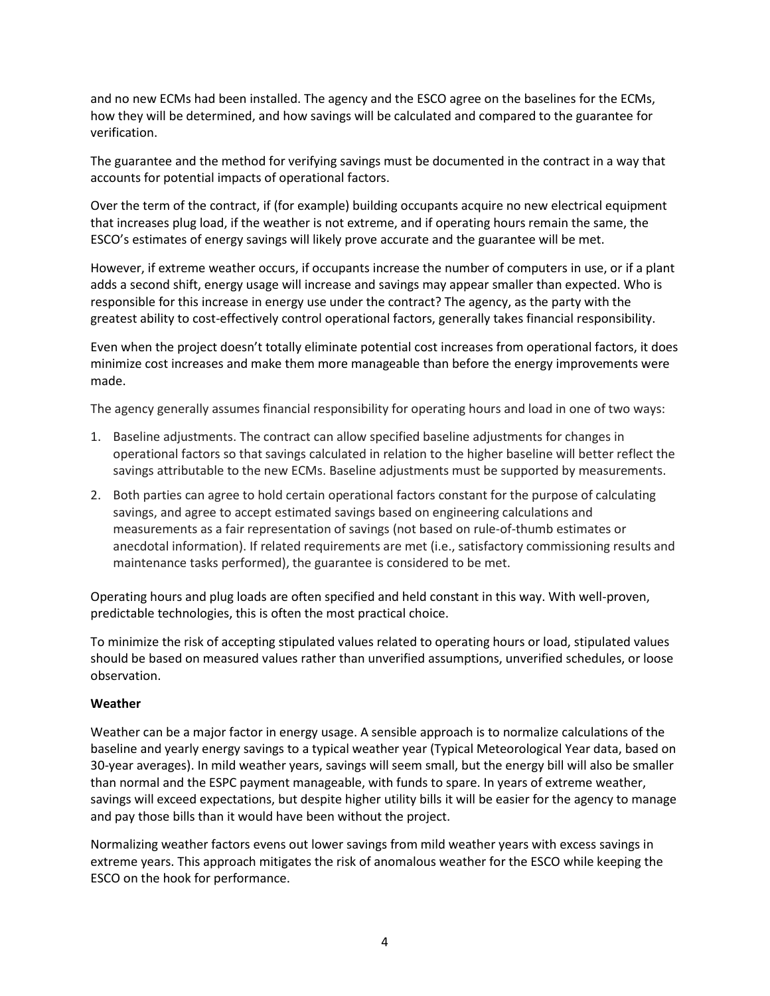and no new ECMs had been installed. The agency and the ESCO agree on the baselines for the ECMs, how they will be determined, and how savings will be calculated and compared to the guarantee for verification.

 accounts for potential impacts of operational factors. The guarantee and the method for verifying savings must be documented in the contract in a way that

Over the term of the contract, if (for example) building occupants acquire no new electrical equipment that increases plug load, if the weather is not extreme, and if operating hours remain the same, the ESCO's estimates of energy savings will likely prove accurate and the guarantee will be met;

However, if extreme weather occurs, if occupants increase the number of computers in use, or if a plant adds a second shift, energy usage will increase and savings may appear smaller than expected. Who is responsible for this increase in energy use under the contract? The agency, as the party with the greatest ability to cost-effectively control operational factors, generally takes financial responsibility.

Even when the project doesn't totally eliminate potential cost increases from operational factors, it does minimize cost increases and make them more manageable than before the energy improvements were made.

The agency generally assumes financial responsibility for operating hours and load in one of two ways:

- 1. Baseline adjustments. The contract can allow specified baseline adjustments for changes in operational factors so that savings calculated in relation to the higher baseline will better reflect the savings attributable to the new ECMs. Baseline adjustments must be supported by measurements.
- measurements as a fair representation of savings (not based on rule-of-thumb estimates or maintenance tasks performed), the guarantee is considered to be met. 2. Both parties can agree to hold certain operational factors constant for the purpose of calculating savings, and agree to accept estimated savings based on engineering calculations and anecdotal information). If related requirements are met (i.e., satisfactory commissioning results and

Operating hours and plug loads are often specified and held constant in this way. With well-proven, predictable technologies, this is often the most practical choice.

To minimize the risk of accepting stipulated values related to operating hours or load, stipulated values should be based on measured values rather than unverified assumptions, unverified schedules, or loose observation.

#### **Weather**

 baseline and yearly energy savings to a typical weather year (Typical Meteorological Year data, based on 30-year averages). In mild weather years, savings will seem small, but the energy bill will also be smaller than normal and the ESPC payment manageable, with funds to spare. In years of extreme weather, savings will exceed expectations, but despite higher utility bills it will be easier for the agency to manage Weather can be a major factor in energy usage. A sensible approach is to normalize calculations of the and pay those bills than it would have been without the project.

Normalizing weather factors evens out lower savings from mild weather years with excess savings in extreme years. This approach mitigates the risk of anomalous weather for the ESCO while keeping the ESCO on the hook for performance.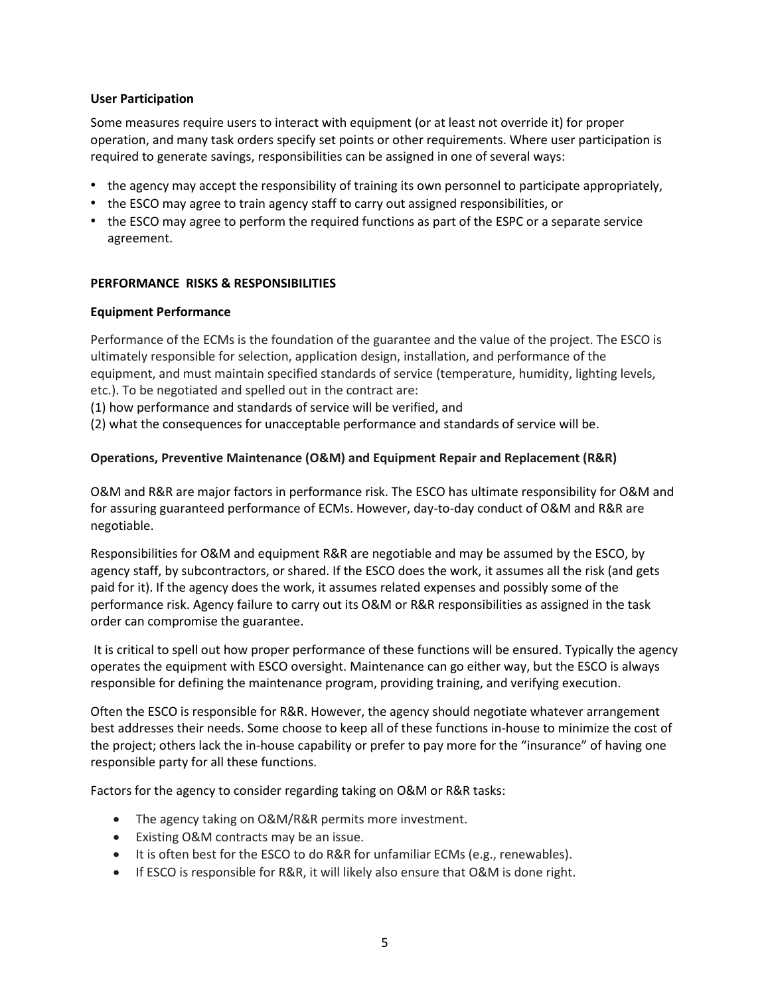#### **User Participation**

Some measures require users to interact with equipment (or at least not override it) for proper operation, and many task orders specify set points or other requirements. Where user participation is required to generate savings, responsibilities can be assigned in one of several ways:

- the agency may accept the responsibility of training its own personnel to participate appropriately,
- the ESCO may agree to train agency staff to carry out assigned responsibilities, or
- the ESCO may agree to perform the required functions as part of the ESPC or a separate service agreement.

### **PERFORMANCE RISKS & RESPONSIBILITIES**

#### **Equipment Performance**

etc.). To be negotiated and spelled out in the contract are: Performance of the ECMs is the foundation of the guarantee and the value of the project. The ESCO is ultimately responsible for selection, application design, installation, and performance of the equipment, and must maintain specified standards of service (temperature, humidity, lighting levels,

etc.). To be negotiated and spelled out in the contract are:<br>(1) how performance and standards of service will be verified, and

(2) what the consequences for unacceptable performance and standards of service will be.

## **Operations, Preventive Maintenance (O&M) and Equipment Repair and Replacement (R&R)**

 O&M and R&R are major factors in performance risk. The ESCO has ultimate responsibility for O&M and for assuring guaranteed performance of ECMs. However, day-to-day conduct of O&M and R&R are negotiable.

 agency staff, by subcontractors, or shared. If the ESCO does the work, it assumes all the risk (and gets paid for it). If the agency does the work, it assumes related expenses and possibly some of the performance risk. Agency failure to carry out its O&M or R&R responsibilities as assigned in the task Responsibilities for O&M and equipment R&R are negotiable and may be assumed by the ESCO, by order can compromise the guarantee.

 It is critical to spell out how proper performance of these functions will be ensured. Typically the agency operates the equipment with ESCO oversight. Maintenance can go either way, but the ESCO is always responsible for defining the maintenance program, providing training, and verifying execution.

 responsible party for all these functions. Often the ESCO is responsible for R&R. However, the agency should negotiate whatever arrangement best addresses their needs. Some choose to keep all of these functions in-house to minimize the cost of the project; others lack the in-house capability or prefer to pay more for the "insurance" of having one

Factors for the agency to consider regarding taking on O&M or R&R tasks:

- The agency taking on O&M/R&R permits more investment.
- Existing O&M contracts may be an issue.
- It is often best for the ESCO to do R&R for unfamiliar ECMs (e.g., renewables).
- **If ESCO is responsible for R&R, it will likely also ensure that O&M is done right.**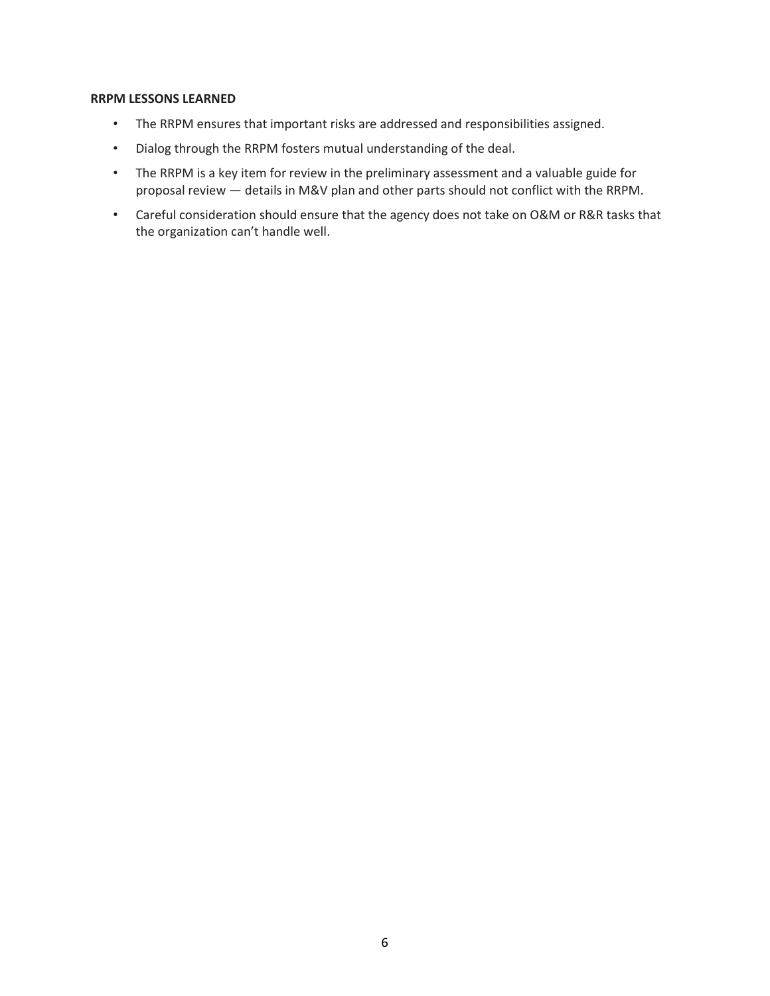#### **RRPM LESSONS LEARNED**

- The RRPM ensures that important risks are addressed and responsibilities assigned.
- • Dialog through the RRPM fosters mutual understanding of the deal.
- The RRPM is a key item for review in the preliminary assessment and a valuable guide for proposal review ― details in M&V plan and other parts should not conflict with the RRPM.
- • Careful consideration should ensure that the agency does not take on O&M or R&R tasks that the organization can't handle well.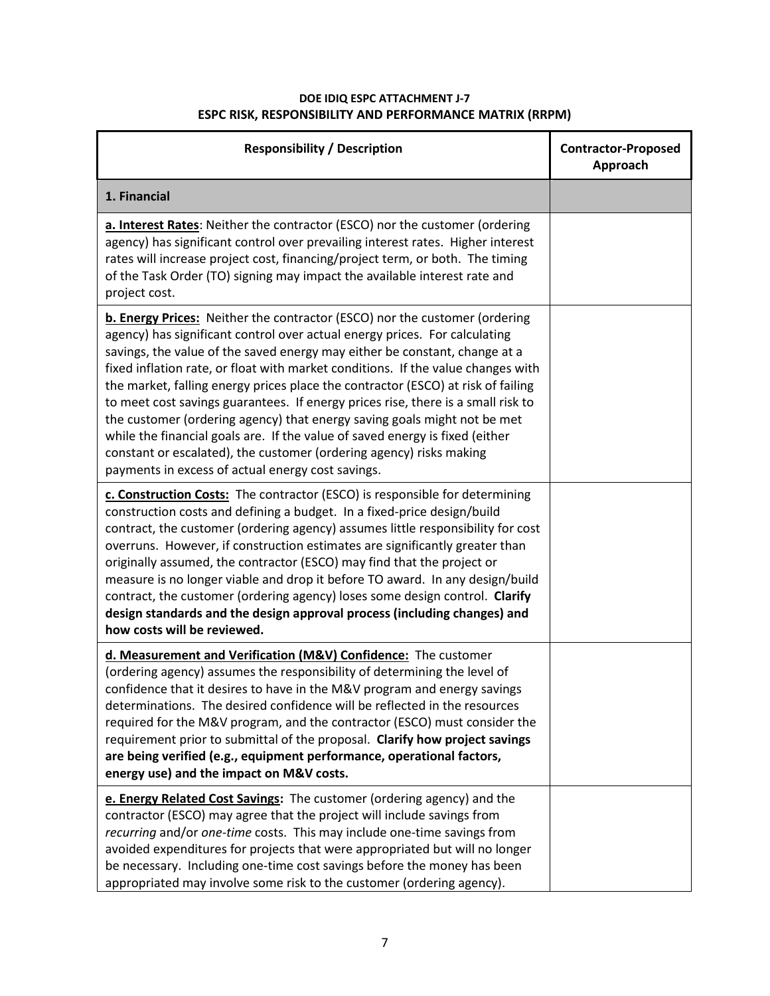| <b>Responsibility / Description</b>                                                                                                                                                                                                                                                                                                                                                                                                                                                                                                                                                                                                                                                                                                                                                        | <b>Contractor-Proposed</b><br>Approach |
|--------------------------------------------------------------------------------------------------------------------------------------------------------------------------------------------------------------------------------------------------------------------------------------------------------------------------------------------------------------------------------------------------------------------------------------------------------------------------------------------------------------------------------------------------------------------------------------------------------------------------------------------------------------------------------------------------------------------------------------------------------------------------------------------|----------------------------------------|
| 1. Financial                                                                                                                                                                                                                                                                                                                                                                                                                                                                                                                                                                                                                                                                                                                                                                               |                                        |
| a. Interest Rates: Neither the contractor (ESCO) nor the customer (ordering<br>agency) has significant control over prevailing interest rates. Higher interest<br>rates will increase project cost, financing/project term, or both. The timing<br>of the Task Order (TO) signing may impact the available interest rate and<br>project cost.                                                                                                                                                                                                                                                                                                                                                                                                                                              |                                        |
| b. Energy Prices: Neither the contractor (ESCO) nor the customer (ordering<br>agency) has significant control over actual energy prices. For calculating<br>savings, the value of the saved energy may either be constant, change at a<br>fixed inflation rate, or float with market conditions. If the value changes with<br>the market, falling energy prices place the contractor (ESCO) at risk of failing<br>to meet cost savings guarantees. If energy prices rise, there is a small risk to<br>the customer (ordering agency) that energy saving goals might not be met<br>while the financial goals are. If the value of saved energy is fixed (either<br>constant or escalated), the customer (ordering agency) risks making<br>payments in excess of actual energy cost savings. |                                        |
| c. Construction Costs: The contractor (ESCO) is responsible for determining<br>construction costs and defining a budget. In a fixed-price design/build<br>contract, the customer (ordering agency) assumes little responsibility for cost<br>overruns. However, if construction estimates are significantly greater than<br>originally assumed, the contractor (ESCO) may find that the project or<br>measure is no longer viable and drop it before TO award. In any design/build<br>contract, the customer (ordering agency) loses some design control. Clarify<br>design standards and the design approval process (including changes) and<br>how costs will be reviewed.                                                                                                               |                                        |
| d. Measurement and Verification (M&V) Confidence: The customer<br>(ordering agency) assumes the responsibility of determining the level of<br>confidence that it desires to have in the M&V program and energy savings<br>determinations. The desired confidence will be reflected in the resources<br>required for the M&V program, and the contractor (ESCO) must consider the<br>requirement prior to submittal of the proposal. Clarify how project savings<br>are being verified (e.g., equipment performance, operational factors,<br>energy use) and the impact on M&V costs.                                                                                                                                                                                                       |                                        |
| e. Energy Related Cost Savings: The customer (ordering agency) and the<br>contractor (ESCO) may agree that the project will include savings from<br>recurring and/or one-time costs. This may include one-time savings from<br>avoided expenditures for projects that were appropriated but will no longer<br>be necessary. Including one-time cost savings before the money has been<br>appropriated may involve some risk to the customer (ordering agency).                                                                                                                                                                                                                                                                                                                             |                                        |

#### **ESPC RISK, RESPONSIBILITY AND PERFORMANCE MATRIX (RRPM) DOE IDIQ ESPC ATTACHMENT J-7**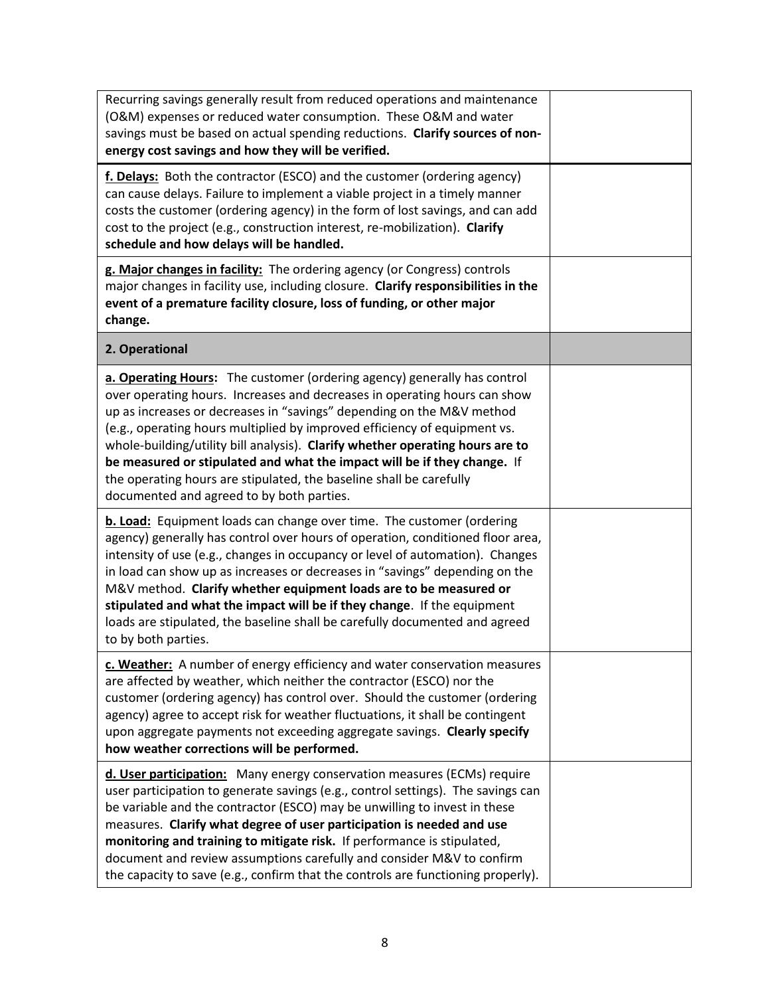| Recurring savings generally result from reduced operations and maintenance<br>(O&M) expenses or reduced water consumption. These O&M and water<br>savings must be based on actual spending reductions. Clarify sources of non-<br>energy cost savings and how they will be verified.                                                                                                                                                                                                                                                                                                         |  |
|----------------------------------------------------------------------------------------------------------------------------------------------------------------------------------------------------------------------------------------------------------------------------------------------------------------------------------------------------------------------------------------------------------------------------------------------------------------------------------------------------------------------------------------------------------------------------------------------|--|
| f. Delays: Both the contractor (ESCO) and the customer (ordering agency)<br>can cause delays. Failure to implement a viable project in a timely manner<br>costs the customer (ordering agency) in the form of lost savings, and can add<br>cost to the project (e.g., construction interest, re-mobilization). Clarify<br>schedule and how delays will be handled.                                                                                                                                                                                                                           |  |
| g. Major changes in facility: The ordering agency (or Congress) controls<br>major changes in facility use, including closure. Clarify responsibilities in the<br>event of a premature facility closure, loss of funding, or other major<br>change.                                                                                                                                                                                                                                                                                                                                           |  |
| 2. Operational                                                                                                                                                                                                                                                                                                                                                                                                                                                                                                                                                                               |  |
| a. Operating Hours: The customer (ordering agency) generally has control<br>over operating hours. Increases and decreases in operating hours can show<br>up as increases or decreases in "savings" depending on the M&V method<br>(e.g., operating hours multiplied by improved efficiency of equipment vs.<br>whole-building/utility bill analysis). Clarify whether operating hours are to<br>be measured or stipulated and what the impact will be if they change. If<br>the operating hours are stipulated, the baseline shall be carefully<br>documented and agreed to by both parties. |  |
| <b>b. Load:</b> Equipment loads can change over time. The customer (ordering<br>agency) generally has control over hours of operation, conditioned floor area,<br>intensity of use (e.g., changes in occupancy or level of automation). Changes<br>in load can show up as increases or decreases in "savings" depending on the<br>M&V method. Clarify whether equipment loads are to be measured or<br>stipulated and what the impact will be if they change. If the equipment<br>loads are stipulated, the baseline shall be carefully documented and agreed<br>to by both parties.         |  |
| c. Weather: A number of energy efficiency and water conservation measures<br>are affected by weather, which neither the contractor (ESCO) nor the<br>customer (ordering agency) has control over. Should the customer (ordering<br>agency) agree to accept risk for weather fluctuations, it shall be contingent<br>upon aggregate payments not exceeding aggregate savings. Clearly specify<br>how weather corrections will be performed.                                                                                                                                                   |  |
| d. User participation: Many energy conservation measures (ECMs) require<br>user participation to generate savings (e.g., control settings). The savings can<br>be variable and the contractor (ESCO) may be unwilling to invest in these<br>measures. Clarify what degree of user participation is needed and use<br>monitoring and training to mitigate risk. If performance is stipulated,<br>document and review assumptions carefully and consider M&V to confirm<br>the capacity to save (e.g., confirm that the controls are functioning properly).                                    |  |